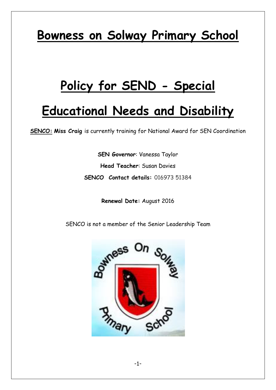# **Bowness on Solway Primary School**

# **Policy for SEND - Special**

# **Educational Needs and Disability**

**SENCO: Miss Craig** is currently training for National Award for SEN Coordination

**SEN Governor**: Vanessa Taylor **Head Teacher**: Susan Davies **SENCO Contact details:** 016973 51384

**Renewal Date:** August 2016

SENCO is not a member of the Senior Leadership Team

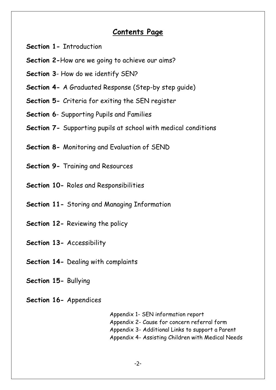## **Contents Page**

- **Section 1-** Introduction
- **Section 2-**How are we going to achieve our aims?
- **Section 3** How do we identify SEN?
- **Section 4-** A Graduated Response (Step-by step guide)
- **Section 5-** Criteria for exiting the SEN register
- **Section 6** Supporting Pupils and Families
- **Section 7-** Supporting pupils at school with medical conditions
- **Section 8-** Monitoring and Evaluation of SEND
- **Section 9-** Training and Resources
- **Section 10-** Roles and Responsibilities
- **Section 11-** Storing and Managing Information
- **Section 12-** Reviewing the policy
- **Section 13-** Accessibility
- **Section 14-** Dealing with complaints
- **Section 15-** Bullying
- **Section 16-** Appendices

Appendix 1- SEN information report Appendix 2- Cause for concern referral form Appendix 3- Additional Links to support a Parent Appendix 4- Assisting Children with Medical Needs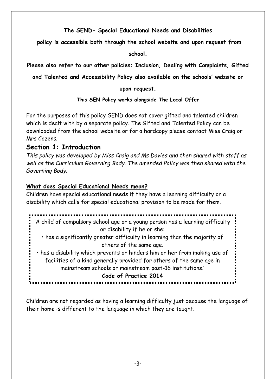**The SEND- Special Educational Needs and Disabilities**

**policy is accessible both through the school website and upon request from** 

**school.**

**Please also refer to our other policies: Inclusion, Dealing with Complaints, Gifted** 

**and Talented and Accessibility Policy also available on the schools' website or** 

#### **upon request.**

**This SEN Policy works alongside The Local Offer**

For the purposes of this policy SEND does not cover gifted and talented children which is dealt with by a separate policy. The Gifted and Talented Policy can be downloaded from the school website or for a hardcopy please contact Miss Craig or Mrs Cozens.

## **Section 1: Introduction**

*This policy was developed by Miss Craig and Ms Davies and then shared with staff as well as the Curriculum Governing Body. The amended Policy was then shared with the Governing Body.*

#### **What does Special Educational Needs mean?**

Children have special educational needs if they have a learning difficulty or a disability which calls for special educational provision to be made for them.

'A child of compulsory school age or a young person has a learning difficulty or disability if he or she: • has a significantly greater difficulty in learning than the majority of others of the same age. • has a disability which prevents or hinders him or her from making use of facilities of a kind generally provided for others of the same age in mainstream schools or mainstream post-16 institutions.' **Code of Practice 2014**

Children are not regarded as having a learning difficulty just because the language of their home is different to the language in which they are taught.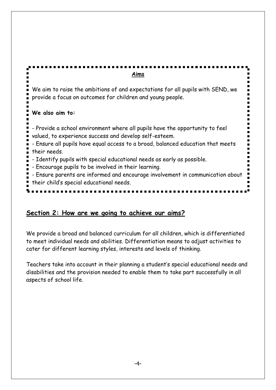**Aims** We aim to raise the ambitions of and expectations for all pupils with SEND, we provide a focus on outcomes for children and young people. **We also aim to:** - Provide a school environment where all pupils have the opportunity to feel valued, to experience success and develop self-esteem. - Ensure all pupils have equal access to a broad, balanced education that meets their needs. - Identify pupils with special educational needs as early as possible. - Encourage pupils to be involved in their learning. - Ensure parents are informed and encourage involvement in communication about their child's special educational needs.

# **Section 2: How are we going to achieve our aims?**

We provide a broad and balanced curriculum for all children, which is differentiated to meet individual needs and abilities. Differentiation means to adjust activities to cater for different learning styles, interests and levels of thinking.

Teachers take into account in their planning a student's special educational needs and disabilities and the provision needed to enable them to take part successfully in all aspects of school life.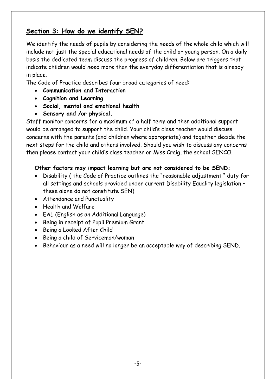# **Section 3: How do we identify SEN?**

We identify the needs of pupils by considering the needs of the whole child which will include not just the special educational needs of the child or young person. On a daily basis the dedicated team discuss the progress of children. Below are triggers that indicate children would need more than the everyday differentiation that is already in place.

The Code of Practice describes four broad categories of need:

- **Communication and Interaction**
- **Cognition and Learning**
- **Social, mental and emotional health**
- **Sensory and /or physical.**

Staff monitor concerns for a maximum of a half term and then additional support would be arranged to support the child. Your child's class teacher would discuss concerns with the parents (and children where appropriate) and together decide the next steps for the child and others involved. Should you wish to discuss any concerns then please contact your child's class teacher or Miss Craig, the school SENCO.

#### **Other factors may impact learning but are not considered to be SEND;**

- Disability ( the Code of Practice outlines the "reasonable adjustment " duty for all settings and schools provided under current Disability Equality legislation – these alone do not constitute SEN)
- Attendance and Punctuality
- Health and Welfare
- EAL (English as an Additional Language)
- Being in receipt of Pupil Premium Grant
- Being a Looked After Child
- Being a child of Serviceman/woman
- Behaviour as a need will no longer be an acceptable way of describing SEND.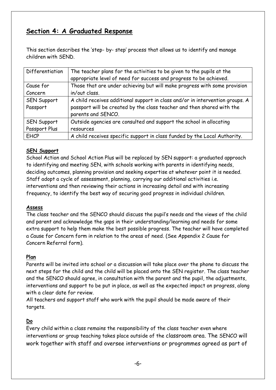# **Section 4: A Graduated Response**

This section describes the 'step- by- step' process that allows us to identify and manage children with SEND.

| Differentiation    | The teacher plans for the activities to be given to the pupils at the<br>appropriate level of need for success and progress to be achieved. |
|--------------------|---------------------------------------------------------------------------------------------------------------------------------------------|
| Cause for          | Those that are under achieving but will make progress with some provision                                                                   |
| Concern            | in/out class.                                                                                                                               |
| <b>SEN Support</b> | A child receives additional support in class and/or in intervention groups. A                                                               |
| Passport           | passport will be created by the class teacher and then shared with the                                                                      |
|                    | parents and SENCO.                                                                                                                          |
| <b>SEN Support</b> | Outside agencies are consulted and support the school in allocating                                                                         |
| Passport Plus      | resources                                                                                                                                   |
| <b>EHCP</b>        | A child receives specific support in class funded by the Local Authority.                                                                   |

#### **SEN Support**

School Action and School Action Plus will be replaced by SEN support: a graduated approach to identifying and meeting SEN, with schools working with parents in identifying needs, deciding outcomes, planning provision and seeking expertise at whatever point it is needed. Staff adopt a cycle of assessment, planning, carrying our additional activities i.e. interventions and then reviewing their actions in increasing detail and with increasing frequency, to identify the best way of securing good progress in individual children.

#### **Assess**

The class teacher and the SENCO should discuss the pupil's needs and the views of the child and parent and acknowledge the gaps in their understanding/learning and needs for some extra support to help them make the best possible progress. The teacher will have completed a Cause for Concern form in relation to the areas of need. (See Appendix 2 Cause for Concern Referral form).

#### **Plan**

Parents will be invited into school or a discussion will take place over the phone to discuss the next steps for the child and the child will be placed onto the SEN register. The class teacher and the SENCO should agree, in consultation with the parent and the pupil, the adjustments, interventions and support to be put in place, as well as the expected impact on progress, along with a clear date for review.

All teachers and support staff who work with the pupil should be made aware of their targets.

#### **Do**

Every child within a class remains the responsibility of the class teacher even where interventions or group teaching takes place outside of the classroom area. The SENCO will work together with staff and oversee interventions or programmes agreed as part of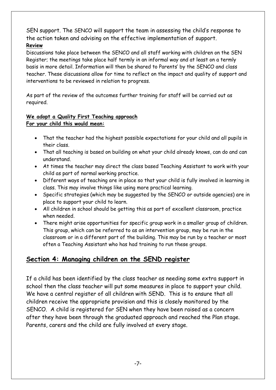SEN support. The SENCO will support the team in assessing the child's response to the action taken and advising on the effective implementation of support. **Review**

Discussions take place between the SENCO and all staff working with children on the SEN Register; the meetings take place half termly in an informal way and at least on a termly basis in more detail. Information will then be shared to Parents' by the SENCO and class teacher. These discussions allow for time to reflect on the impact and quality of support and interventions to be reviewed in relation to progress.

As part of the review of the outcomes further training for staff will be carried out as required.

#### **We adopt a Quality First Teaching approach For your child this would mean:**

- That the teacher had the highest possible expectations for your child and all pupils in their class.
- That all teaching is based on building on what your child already knows, can do and can understand.
- At times the teacher may direct the class based Teaching Assistant to work with your child as part of normal working practice.
- Different ways of teaching are in place so that your child is fully involved in learning in class. This may involve things like using more practical learning.
- Specific strategies (which may be suggested by the SENCO or outside agencies) are in place to support your child to learn.
- All children in school should be getting this as part of excellent classroom, practice when needed.
- There might arise opportunities for specific group work in a smaller group of children. This group, which can be referred to as an intervention group, may be run in the classroom or in a different part of the building. This may be run by a teacher or most often a Teaching Assistant who has had training to run these groups.

# **Section 4: Managing children on the SEND register**

If a child has been identified by the class teacher as needing some extra support in school then the class teacher will put some measures in place to support your child. We have a central register of all children with SEND. This is to ensure that all children receive the appropriate provision and this is closely monitored by the SENCO. A child is registered for SEN when they have been raised as a concern after they have been through the graduated approach and reached the Plan stage. Parents, carers and the child are fully involved at every stage.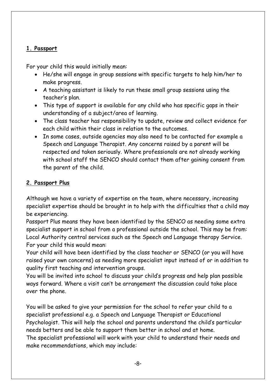#### **1. Passport**

For your child this would initially mean:

- He/she will engage in group sessions with specific targets to help him/her to make progress.
- A teaching assistant is likely to run these small group sessions using the teacher's plan.
- This type of support is available for any child who has specific gaps in their understanding of a subject/area of learning.
- The class teacher has responsibility to update, review and collect evidence for each child within their class in relation to the outcomes.
- In some cases, outside agencies may also need to be contacted for example a Speech and Language Therapist. Any concerns raised by a parent will be respected and taken seriously. Where professionals are not already working with school staff the SENCO should contact them after gaining consent from the parent of the child.

#### **2. Passport Plus**

Although we have a variety of expertise on the team, where necessary, increasing specialist expertise should be brought in to help with the difficulties that a child may be experiencing.

Passport Plus means they have been identified by the SENCO as needing some extra specialist support in school from a professional outside the school. This may be from: Local Authority central services such as the Speech and Language therapy Service. For your child this would mean:

Your child will have been identified by the class teacher or SENCO (or you will have raised your own concerns) as needing more specialist input instead of or in addition to quality first teaching and intervention groups.

You will be invited into school to discuss your child's progress and help plan possible ways forward. Where a visit can't be arrangement the discussion could take place over the phone.

You will be asked to give your permission for the school to refer your child to a specialist professional e.g. a Speech and Language Therapist or Educational Psychologist. This will help the school and parents understand the child's particular needs betters and be able to support them better in school and at home. The specialist professional will work with your child to understand their needs and make recommendations, which may include: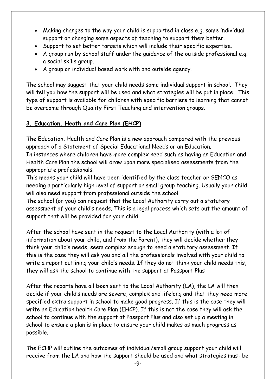- Making changes to the way your child is supported in class e.g. some individual support or changing some aspects of teaching to support them better.
- Support to set better targets which will include their specific expertise.
- A group run by school staff under the guidance of the outside professional e.g. a social skills group.
- A group or individual based work with and outside agency.

The school may suggest that your child needs some individual support in school. They will tell you how the support will be used and what strategies will be put in place. This type of support is available for children with specific barriers to learning that cannot be overcome through Quality First Teaching and intervention groups.

## **3. Education, Heath and Care Plan (EHCP)**

The Education, Health and Care Plan is a new approach compared with the previous approach of a Statement of Special Educational Needs or an Education. In instances where children have more complex need such as having an Education and Health Care Plan the school will draw upon more specialised assessments from the appropriate professionals.

This means your child will have been identified by the class teacher or SENCO as needing a particularly high level of support or small group teaching. Usually your child will also need support from professional outside the school.

The school (or you) can request that the Local Authority carry out a statutory assessment of your child's needs. This is a legal process which sets out the amount of support that will be provided for your child.

After the school have sent in the request to the Local Authority (with a lot of information about your child, and from the Parent), they will decide whether they think your child's needs, seem complex enough to need a statutory assessment. If this is the case they will ask you and all the professionals involved with your child to write a report outlining your child's needs. If they do not think your child needs this, they will ask the school to continue with the support at Passport Plus

After the reports have all been sent to the Local Authority (LA), the LA will then decide if your child's needs are severe, complex and lifelong and that they need more specified extra support in school to make good progress. If this is the case they will write an Education health Care Plan (EHCP). If this is not the case they will ask the school to continue with the support at Passport Plus and also set up a meeting in school to ensure a plan is in place to ensure your child makes as much progress as possible.

The ECHP will outline the outcomes of individual/small group support your child will receive from the LA and how the support should be used and what strategies must be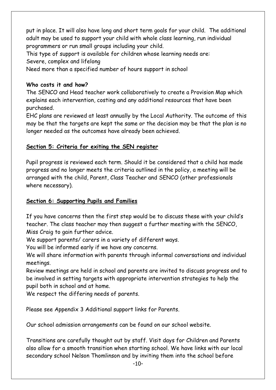put in place. It will also have long and short term goals for your child. The additional adult may be used to support your child with whole class learning, run individual programmers or run small groups including your child.

This type of support is available for children whose learning needs are: Severe, complex and lifelong

Need more than a specified number of hours support in school

#### **Who costs it and how?**

The SENCO and Head teacher work collaboratively to create a Provision Map which explains each intervention, costing and any additional resources that have been purchased.

EHC plans are reviewed at least annually by the Local Authority. The outcome of this may be that the targets are kept the same or the decision may be that the plan is no longer needed as the outcomes have already been achieved.

#### **Section 5: Criteria for exiting the SEN register**

Pupil progress is reviewed each term. Should it be considered that a child has made progress and no longer meets the criteria outlined in the policy, a meeting will be arranged with the child, Parent, Class Teacher and SENCO (other professionals where necessary).

#### **Section 6: Supporting Pupils and Families**

If you have concerns then the first step would be to discuss these with your child's teacher. The class teacher may then suggest a further meeting with the SENCO, Miss Craig to gain further advice.

We support parents/ carers in a variety of different ways.

You will be informed early if we have any concerns.

We will share information with parents through informal conversations and individual meetings.

Review meetings are held in school and parents are invited to discuss progress and to be involved in setting targets with appropriate intervention strategies to help the pupil both in school and at home.

We respect the differing needs of parents.

Please see Appendix 3 Additional support links for Parents.

Our school admission arrangements can be found on our school website.

Transitions are carefully thought out by staff. Visit days for Children and Parents also allow for a smooth transition when starting school. We have links with our local secondary school Nelson Thomlinson and by inviting them into the school before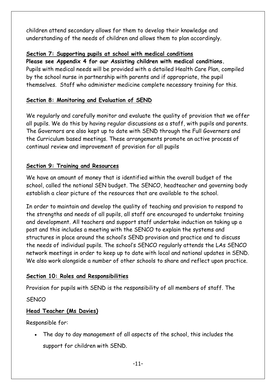children attend secondary allows for them to develop their knowledge and understanding of the needs of children and allows them to plan accordingly.

#### **Section 7: Supporting pupils at school with medical conditions**

**Please see Appendix 4 for our Assisting children with medical conditions.** Pupils with medical needs will be provided with a detailed Health Care Plan, compiled by the school nurse in partnership with parents and if appropriate, the pupil themselves. Staff who administer medicine complete necessary training for this.

## **Section 8: Monitoring and Evaluation of SEND**

We regularly and carefully monitor and evaluate the quality of provision that we offer all pupils. We do this by having regular discussions as a staff, with pupils and parents. The Governors are also kept up to date with SEND through the Full Governers and the Curriculum based meetings. These arrangements promote an active process of continual review and improvement of provision for all pupils

#### **Section 9: Training and Resources**

We have an amount of money that is identified within the overall budget of the school, called the notional SEN budget. The SENCO, headteacher and governing body establish a clear picture of the resources that are available to the school.

In order to maintain and develop the quality of teaching and provision to respond to the strengths and needs of all pupils, all staff are encouraged to undertake training and development. All teachers and support staff undertake induction on taking up a post and this includes a meeting with the SENCO to explain the systems and structures in place around the school's SEND provision and practice and to discuss the needs of individual pupils. The school's SENCO regularly attends the LAs SENCO network meetings in order to keep up to date with local and national updates in SEND. We also work alongside a number of other schools to share and reflect upon practice.

#### **Section 10: Roles and Responsibilities**

Provision for pupils with SEND is the responsibility of all members of staff. The

#### **SENCO**

## **Head Teacher (Ms Davies)**

Responsible for:

 The day to day management of all aspects of the school, this includes the support for children with SEND.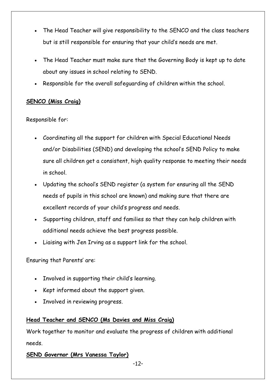- The Head Teacher will give responsibility to the SENCO and the class teachers but is still responsible for ensuring that your child's needs are met.
- The Head Teacher must make sure that the Governing Body is kept up to date about any issues in school relating to SEND.
- Responsible for the overall safeguarding of children within the school.

#### **SENCO (Miss Craig)**

Responsible for:

- Coordinating all the support for children with Special Educational Needs and/or Disabilities (SEND) and developing the school's SEND Policy to make sure all children get a consistent, high quality response to meeting their needs in school.
- Updating the school's SEND register (a system for ensuring all the SEND needs of pupils in this school are known) and making sure that there are excellent records of your child's progress and needs.
- Supporting children, staff and families so that they can help children with additional needs achieve the best progress possible.
- Liaising with Jen Irving as a support link for the school.

Ensuring that Parents' are:

- Involved in supporting their child's learning.
- Kept informed about the support given.
- Involved in reviewing progress.

#### **Head Teacher and SENCO (Ms Davies and Miss Craig)**

Work together to monitor and evaluate the progress of children with additional needs.

#### **SEND Governor (Mrs Vanessa Taylor)**

-12-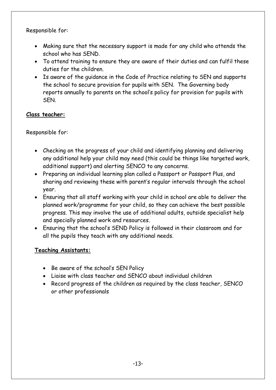Responsible for:

- Making sure that the necessary support is made for any child who attends the school who has SEND.
- To attend training to ensure they are aware of their duties and can fulfil these duties for the children.
- Is aware of the guidance in the Code of Practice relating to SEN and supports the school to secure provision for pupils with SEN. The Governing body reports annually to parents on the school's policy for provision for pupils with SEN.

#### **Class teacher:**

Responsible for:

- Checking on the progress of your child and identifying planning and delivering any additional help your child may need (this could be things like targeted work, additional support) and alerting SENCO to any concerns.
- Preparing an individual learning plan called a Passport or Passport Plus, and sharing and reviewing these with parent's regular intervals through the school year.
- Ensuring that all staff working with your child in school are able to deliver the planned work/programme for your child, so they can achieve the best possible progress. This may involve the use of additional adults, outside specialist help and specially planned work and resources.
- Ensuring that the school's SEND Policy is followed in their classroom and for all the pupils they teach with any additional needs.

#### **Teaching Assistants:**

- Be aware of the school's SEN Policy
- Liaise with class teacher and SENCO about individual children
- Record progress of the children as required by the class teacher, SENCO or other professionals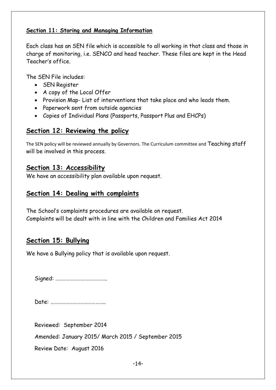#### **Section 11: Storing and Managing Information**

Each class has an SEN file which is accessible to all working in that class and those in charge of monitoring, i.e. SENCO and head teacher. These files are kept in the Head Teacher's office.

The SEN File includes:

- SEN Register
- A copy of the Local Offer
- Provision Map- List of interventions that take place and who leads them.
- Paperwork sent from outside agencies
- Copies of Individual Plans (Passports, Passport Plus and EHCPs)

#### **Section 12: Reviewing the policy**

The SEN policy will be reviewed annually by Governors. The Curriculum committee and Teaching staff will be involved in this process.

#### **Section 13: Accessibility**

We have an accessibility plan available upon request.

#### **Section 14: Dealing with complaints**

The School's complaints procedures are available on request. Complaints will be dealt with in line with the Children and Families Act 2014

## **Section 15: Bullying**

We have a Bullying policy that is available upon request.

Signed: …………………………………..

Date: ……………………………………..

Reviewed: September 2014

Amended: January 2015/ March 2015 / September 2015

Review Date: August 2016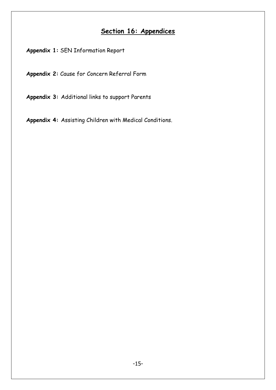# **Section 16: Appendices**

**Appendix 1:** SEN Information Report

**Appendix 2:** Cause for Concern Referral Form

**Appendix 3:** Additional links to support Parents

**Appendix 4:** Assisting Children with Medical Conditions.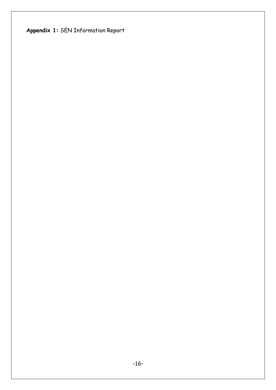**Appendix 1:** SEN Information Report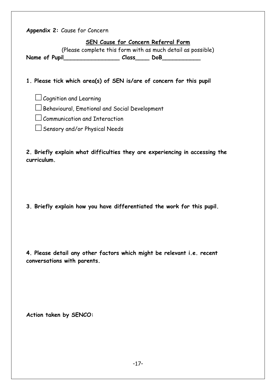**Appendix 2:** Cause for Concern

**SEN Cause for Concern Referral Form**

(Please complete this form with as much detail as possible)

**Name of Pupil\_\_\_\_\_\_\_\_\_\_\_\_\_\_\_\_ Class\_\_\_\_ DoB\_\_\_\_\_\_\_\_\_\_\_**

**1. Please tick which area(s) of SEN is/are of concern for this pupil**

 $\Box$  Cognition and Learning

 $\Box$  Behavioural, Emotional and Social Development

 $\Box$  Communication and Interaction

 $\Box$  Sensory and/or Physical Needs

**2. Briefly explain what difficulties they are experiencing in accessing the curriculum.**

**3. Briefly explain how you have differentiated the work for this pupil.**

**4. Please detail any other factors which might be relevant i.e. recent conversations with parents.**

**Action taken by SENCO:**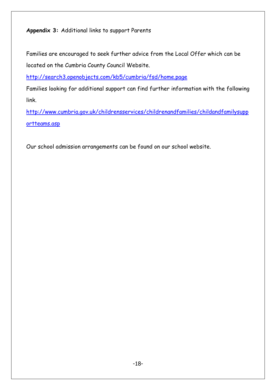**Appendix 3:** Additional links to support Parents

Families are encouraged to seek further advice from the Local Offer which can be located on the Cumbria County Council Website.

<http://search3.openobjects.com/kb5/cumbria/fsd/home.page>

Families looking for additional support can find further information with the following link.

[http://www.cumbria.gov.uk/childrensservices/childrenandfamilies/childandfamilysupp](http://www.cumbria.gov.uk/childrensservices/childrenandfamilies/childandfamilysupportteams.asp) [ortteams.asp](http://www.cumbria.gov.uk/childrensservices/childrenandfamilies/childandfamilysupportteams.asp)

Our school admission arrangements can be found on our school website.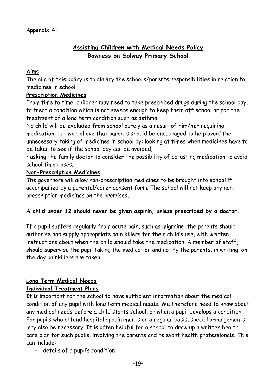# **Assisting Children with Medical Needs Policy Bowness on Solway Primary School**

#### **Aims**

The aim of this policy is to clarify the school's/parents responsibilities in relation to medicines in school.

#### **Prescription Medicines**

From time to time, children may need to take prescribed drugs during the school day, to treat a condition which is not severe enough to keep them off school or for the treatment of a long term condition such as asthma.

No child will be excluded from school purely as a result of him/her requiring medication, but we believe that parents should be encouraged to help avoid the unnecessary taking of medicines in school by: looking at times when medicines have to be taken to see if the school day can be avoided,

• asking the family doctor to consider the possibility of adjusting medication to avoid school time doses.

#### **Non-Prescription Medicines**

The governors will allow non-prescription medicines to be brought into school if accompanied by a parental/carer consent form. The school will not keep any nonprescription medicines on the premises.

#### **A child under 12 should never be given aspirin, unless prescribed by a doctor.**

If a pupil suffers regularly from acute pain, such as migraine, the parents should authorise and supply appropriate pain killers for their child's use, with written instructions about when the child should take the medication. A member of staff, should supervise the pupil taking the medication and notify the parents, in writing, on the day painkillers are taken.

#### **Long Term Medical Needs Individual Treatment Plans**

It is important for the school to have sufficient information about the medical condition of any pupil with long term medical needs. We therefore need to know about any medical needs before a child starts school, or when a pupil develops a condition. For pupils who attend hospital appointments on a regular basis, special arrangements may also be necessary. It is often helpful for a school to draw up a written health care plan for such pupils, involving the parents and relevant health professionals. This can include:

details of a pupil's condition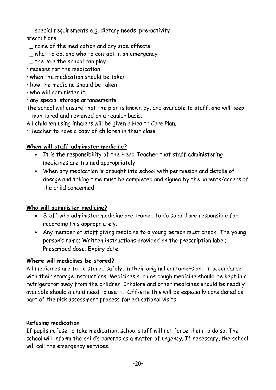**0**\_ special requirements e.g. dietary needs, pre-activity precautions

- **0**\_ name of the medication and any side effects
- **0**\_ what to do, and who to contact in an emergency
- the role the school can play
- reasons for the medication
- when the medication should be taken
- how the medicine should be taken
- who will administer it
- any special storage arrangements

The school will ensure that the plan is known by, and available to staff, and will keep it monitored and reviewed on a regular basis.

All children using inhalers will be given a Health Care Plan.

• Teacher to have a copy of children in their class

#### **When will staff administer medicine?**

- It is the responsibility of the Head Teacher that staff administering medicines are trained appropriately.
- When any medication is brought into school with permission and details of dosage and taking time must be completed and signed by the parents/carers of the child concerned

#### **Who will administer medicine?**

- Staff who administer medicine are trained to do so and are responsible for recording this appropriately.
- Any member of staff giving medicine to a young person must check: The young person's name; Written instructions provided on the prescription label; Prescribed dose; Expiry date.

## **Where will medicines be stored?**

All medicines are to be stored safely, in their original containers and in accordance with their storage instructions. Medicines such as cough medicine should be kept in a refrigerator away from the children. Inhalors and other medicines should be readily available should a child need to use it. Off-site this will be especially considered as part of the risk assessment process for educational visits.

## **Refusing medication**

If pupils refuse to take medication, school staff will not force them to do so. The school will inform the child's parents as a matter of urgency. If necessary, the school will call the emergency services.